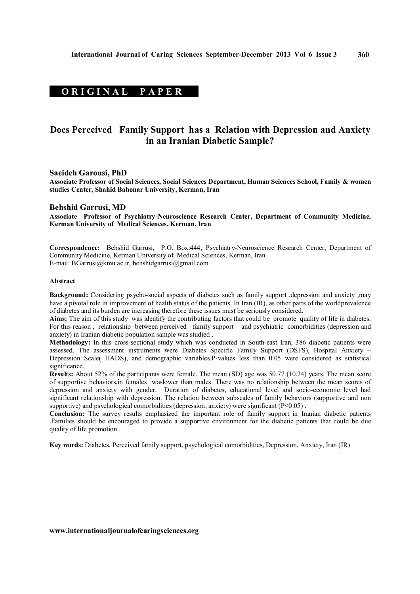# **ORIGINAL PAPER**

# **Does Perceived Family Support has a Relation with Depression and Anxiety in an Iranian Diabetic Sample?**

#### **Saeideh Garousi, PhD**

**Associate Professor of Social Sciences, Social Sciences Department, Human Sciences School, Family & women studies Center, Shahid Bahonar University, Kerman, Iran**

#### **Behshid Garrusi, MD**

**Associate Professor of Psychiatry-Neuroscience Research Center, Department of Community Medicine, Kerman University of Medical Sciences, Kerman, Iran** 

**Correspondence:** Behshid Garrusi, P.O. Box:444, Psychiatry-Neuroscience Research Center, Department of Community Medicine, Kerman University of Medical Sciences, Kerman, Iran E-mail: BGarrusi@kmu.ac.ir, behshidgarrusi@gmail.com

#### **Abstract**

**Background:** Considering psycho-social aspects of diabetes such as family support ,depression and anxiety ,may have a pivotal role in improvement of health status of the patients. In Iran (IR), as other parts of the worldprevalence of diabetes and its burden are increasing therefore these issues must be seriously considered.

**Aims:** The aim of this study was identify the contributing factors that could be promote quality of life in diabetes. For this reason , relationship between perceived family support and psychiatric comorbidities (depression and anxiety) in Iranian diabetic population sample was studied .

**Methodology:** In this cross-sectional study which was conducted in South-east Iran, 386 diabetic patients were assessed. The assessment instruments were Diabetes Specific Family Support (DSFS), Hospital Anxiety – Depression Scale( HADS), and demographic variables.P-values less than 0.05 were considered as statistical significance.

**Results:** About 52% of the participants were female. The mean (SD) age was 50.77 (10.24) years. The mean score of supportive behaviors,in females waslower than males. There was no relationship between the mean scores of depression and anxiety with gender. Duration of diabetes, educational level and socio-economic level had significant relationship with depression. The relation between subscales of family behaviors (supportive and non supportive) and psychological comorbidities (depression, anxiety) were significant (P<0.05).

**Conclusion:** The survey results emphasized the important role of family support in Iranian diabetic patients .Families should be encouraged to provide a supportive environment for the diabetic patients that could be due quality of life promotion .

**Key words:** Diabetes, Perceived family support, psychological comorbidities, Depression, Anxiety, Iran (IR)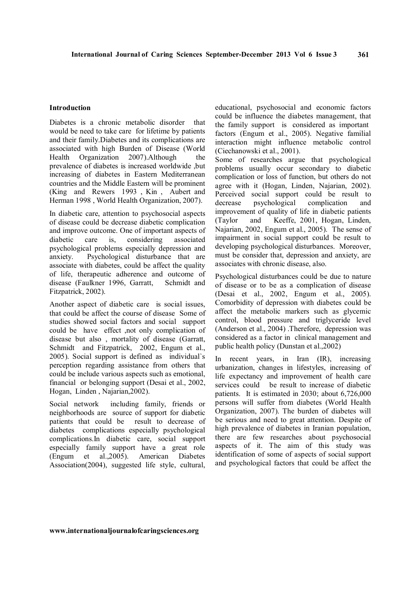#### **Introduction**

Diabetes is a chronic metabolic disorder that would be need to take care for lifetime by patients and their family.Diabetes and its complications are associated with high Burden of Disease (World Health Organization 2007). Although the prevalence of diabetes is increased worldwide ,but increasing of diabetes in Eastern Mediterranean countries and the Middle Eastern will be prominent (King and Rewers 1993 , Kin , Aubert and Herman 1998 , World Health Organization, 2007).

In diabetic care, attention to psychosocial aspects of disease could be decrease diabetic complication and improve outcome. One of important aspects of diabetic care is, considering associated psychological problems especially depression and anxiety. Psychological disturbance that are associate with diabetes, could be affect the quality of life, therapeutic adherence and outcome of disease (Faulkner 1996, Garratt, Schmidt and Fitzpatrick, 2002).

Another aspect of diabetic care is social issues, that could be affect the course of disease Some of studies showed social factors and social support could be have effect ,not only complication of disease but also , mortality of disease (Garratt, Schmidt and Fitzpatrick, 2002, Engum et al., 2005). Social support is defined as individual`s perception regarding assistance from others that could be include various aspects such as emotional, financial or belonging support (Desai et al., 2002, Hogan, Linden , Najarian,2002).

Social network including family, friends or neighborhoods are source of support for diabetic patients that could be result to decrease of diabetes complications especially psychological complications.In diabetic care, social support especially family support have a great role (Engum et al.,2005). American Diabetes Association(2004), suggested life style, cultural, educational, psychosocial and economic factors could be influence the diabetes management, that the family support is considered as important factors (Engum et al., 2005). Negative familial interaction might influence metabolic control (Ciechanowski et al., 2001).

Some of researches argue that psychological problems usually occur secondary to diabetic complication or loss of function, but others do not agree with it (Hogan, Linden, Najarian, 2002). Perceived social support could be result to decrease psychological complication and improvement of quality of life in diabetic patients (Taylor and Keeffe, 2001, Hogan, Linden, Najarian, 2002, Engum et al., 2005). The sense of impairment in social support could be result to developing psychological disturbances. Moreover, must be consider that, depression and anxiety, are associates with chronic disease, also.

Psychological disturbances could be due to nature of disease or to be as a complication of disease (Desai et al., 2002, Engum et al., 2005). Comorbidity of depression with diabetes could be affect the metabolic markers such as glycemic control, blood pressure and triglyceride level (Anderson et al., 2004) .Therefore, depression was considered as a factor in clinical management and public health policy (Dunstan et al.,2002)

In recent years, in Iran (IR), increasing urbanization, changes in lifestyles, increasing of life expectancy and improvement of health care services could be result to increase of diabetic patients. It is estimated in 2030; about 6,726,000 persons will suffer from diabetes (World Health Organization, 2007). The burden of diabetes will be serious and need to great attention. Despite of high prevalence of diabetes in Iranian population, there are few researches about psychosocial aspects of it. The aim of this study was identification of some of aspects of social support and psychological factors that could be affect the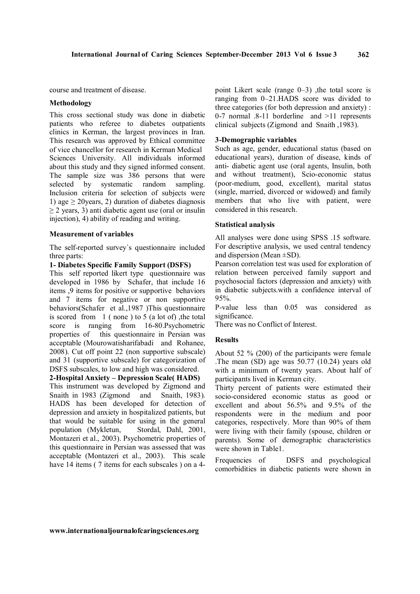course and treatment of disease.

# **Methodology**

This cross sectional study was done in diabetic patients who referee to diabetes outpatients clinics in Kerman, the largest provinces in Iran. This research was approved by Ethical committee of vice chancellor for research in Kerman Medical Sciences University. All individuals informed about this study and they signed informed consent. The sample size was 386 persons that were selected by systematic random sampling. Inclusion criteria for selection of subjects were 1) age  $\geq$  20 years, 2) duration of diabetes diagnosis ≥ 2 years, 3) anti diabetic agent use (oral or insulin injection), 4) ability of reading and writing.

#### **Measurement of variables**

The self-reported survey`s questionnaire included three parts:

# **1- Diabetes Specific Family Support (DSFS)**

This self reported likert type questionnaire was developed in 1986 by Schafer, that include 16 items ,9 items for positive or supportive behaviors and 7 items for negative or non supportive behaviors(Schafer et al.,1987 )This questionnaire is scored from  $1$  (none) to 5 (a lot of), the total score is ranging from 16-80.Psychometric properties of this questionnaire in Persian was acceptable (Mourowatisharifabadi and Rohanee, 2008). Cut off point 22 (non supportive subscale) and 31 (supportive subscale) for categorization of DSFS subscales, to low and high was considered.

# **2-Hospital Anxiety – Depression Scale( HADS)**

This instrument was developed by Zigmond and Snaith in 1983 (Zigmond and Snaith, 1983). HADS has been developed for detection of depression and anxiety in hospitalized patients, but that would be suitable for using in the general population (Mykletun, Stordal, Dahl, 2001, Montazeri et al., 2003). Psychometric properties of this questionnaire in Persian was assessed that was acceptable (Montazeri et al., 2003). This scale have 14 items (7 items for each subscales) on a 4point Likert scale (range 0–3) ,the total score is ranging from 0–21.HADS score was divided to three categories (for both depression and anxiety) : 0-7 normal .8-11 borderline and >11 represents clinical subjects (Zigmond and Snaith ,1983).

## **3-Demographic variables**

Such as age, gender, educational status (based on educational years), duration of disease, kinds of anti- diabetic agent use (oral agents, Insulin, both and without treatment), Scio-economic status (poor-medium, good, excellent), marital status (single, married, divorced or widowed) and family members that who live with patient, were considered in this research.

#### **Statistical analysis**

All analyses were done using SPSS .15 software. For descriptive analysis, we used central tendency and dispersion (Mean ±SD).

Pearson correlation test was used for exploration of relation between perceived family support and psychosocial factors (depression and anxiety) with in diabetic subjects.with a confidence interval of 95%.

P-value less than 0.05 was considered as significance.

There was no Conflict of Interest.

# **Results**

About 52 % (200) of the participants were female .The mean (SD) age was 50.77 (10.24) years old with a minimum of twenty years. About half of participants lived in Kerman city.

Thirty percent of patients were estimated their socio-considered economic status as good or excellent and about 56.5% and 9.5% of the respondents were in the medium and poor categories, respectively. More than 90% of them were living with their family (spouse, children or parents). Some of demographic characteristics were shown in Table1.

Frequencies of DSFS and psychological comorbidities in diabetic patients were shown in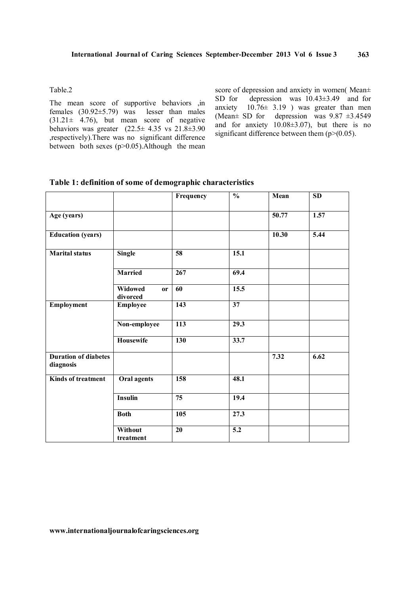Table.2

The mean score of supportive behaviors ,in females (30.92±5.79) was lesser than males  $(31.21 \pm 4.76)$ , but mean score of negative behaviors was greater  $(22.5 \pm 4.35 \text{ vs } 21.8 \pm 3.90)$ ,respectively).There was no significant difference between both sexes  $(p>0.05)$ . Although the mean score of depression and anxiety in women( Mean $\pm$ SD for depression was 10.43±3.49 and for anxiety  $10.76 \pm 3.19$  ) was greater than men (Mean $\pm$  SD for depression was 9.87  $\pm$ 3.4549 and for anxiety  $10.08\pm3.07$ , but there is no significant difference between them  $(p>(0.05))$ .

|  | Table 1: definition of some of demographic characteristics |  |  |  |  |
|--|------------------------------------------------------------|--|--|--|--|
|  |                                                            |  |  |  |  |

|                                          |                           | Frequency        | $\frac{0}{0}$     | Mean  | <b>SD</b> |
|------------------------------------------|---------------------------|------------------|-------------------|-------|-----------|
| Age (years)                              |                           |                  |                   | 50.77 | 1.57      |
| <b>Education</b> (years)                 |                           |                  |                   | 10.30 | 5.44      |
| <b>Marital</b> status                    | <b>Single</b>             | $\overline{58}$  | 15.1              |       |           |
|                                          | <b>Married</b>            | 267              | 69.4              |       |           |
|                                          | Widowed<br>or<br>divorced | 60               | 15.5              |       |           |
| Employment                               | <b>Employee</b>           | 143              | 37                |       |           |
|                                          | Non-employee              | $\overline{113}$ | $\overline{29.3}$ |       |           |
|                                          | <b>Housewife</b>          | 130              | 33.7              |       |           |
| <b>Duration of diabetes</b><br>diagnosis |                           |                  |                   | 7.32  | 6.62      |
| <b>Kinds of treatment</b>                | Oral agents               | 158              | 48.1              |       |           |
|                                          | <b>Insulin</b>            | $\overline{75}$  | 19.4              |       |           |
|                                          | <b>Both</b>               | 105              | 27.3              |       |           |
|                                          | Without<br>treatment      | 20               | $\overline{5.2}$  |       |           |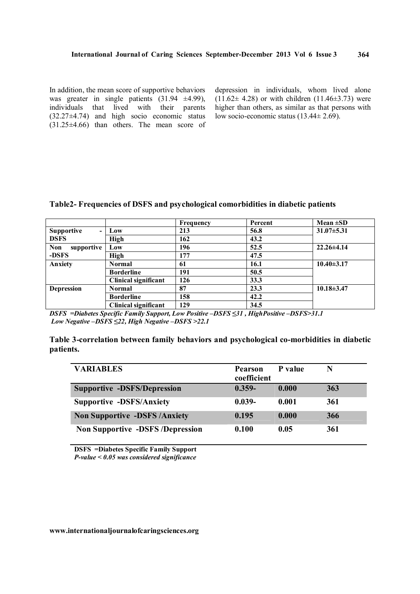In addition, the mean score of supportive behaviors was greater in single patients (31.94  $\pm$ 4.99), individuals that lived with their parents  $(32.27\pm4.74)$  and high socio economic status (31.25±4.66) than others. The mean score of

depression in individuals, whom lived alone  $(11.62 \pm 4.28)$  or with children  $(11.46 \pm 3.73)$  were higher than others, as similar as that persons with low socio-economic status (13.44± 2.69).

# **Table2- Frequencies of DSFS and psychological comorbidities in diabetic patients**

|                                     |                             | <b>Frequency</b> | Percent | Mean $\pm SD$    |
|-------------------------------------|-----------------------------|------------------|---------|------------------|
| <b>Supportive</b><br>$\blacksquare$ | Low                         | 213              | 56.8    | $31.07 \pm 5.31$ |
| <b>DSFS</b>                         | <b>High</b>                 | 162              | 43.2    |                  |
| supportive<br><b>Non</b>            | Low                         | 196              | 52.5    | $22.26 \pm 4.14$ |
| -DSFS                               | <b>High</b>                 | 177              | 47.5    |                  |
| <b>Anxiety</b>                      | <b>Normal</b>               | 61               | 16.1    | $10.40 \pm 3.17$ |
|                                     | <b>Borderline</b>           | 191              | 50.5    |                  |
|                                     | Clinical significant        | 126              | 33.3    |                  |
| <b>Depression</b>                   | Normal                      | 87               | 23.3    | $10.18 \pm 3.47$ |
|                                     | <b>Borderline</b>           | 158              | 42.2    |                  |
|                                     | <b>Clinical significant</b> | 129              | 34.5    |                  |

*DSFS =Diabetes Specific Family Support, Low Positive –DSFS ≤31 , HighPositive –DSFS>31.1 Low Negative –DSFS ≤22, High Negative –DSFS >22.1*

| Table 3-correlation between family behaviors and psychological co-morbidities in diabetic |  |  |
|-------------------------------------------------------------------------------------------|--|--|
| patients.                                                                                 |  |  |

| <b>VARIABLES</b>                       | <b>Pearson</b><br>coefficient | P value | N   |
|----------------------------------------|-------------------------------|---------|-----|
| <b>Supportive -DSFS/Depression</b>     | $0.359 -$                     | 0.000   | 363 |
| <b>Supportive -DSFS/Anxiety</b>        | $0.039 -$                     | 0.001   | 361 |
| <b>Non Supportive -DSFS/Anxiety</b>    | 0.195                         | 0.000   | 366 |
| <b>Non Supportive -DSFS/Depression</b> | 0.100                         | 0.05    | 361 |

**DSFS =Diabetes Specific Family Support** *P-value < 0.05 was considered significance*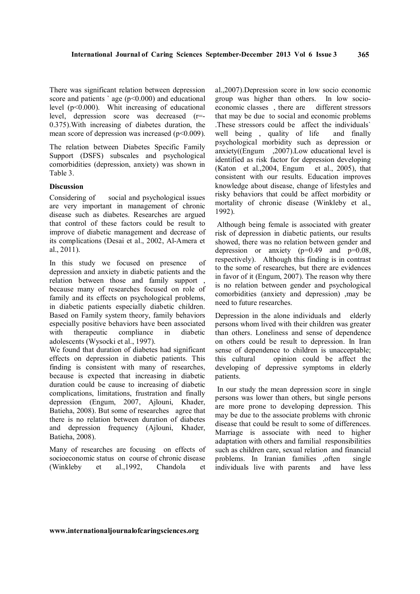There was significant relation between depression score and patients  $\degree$  age (p<0.000) and educational level (p<0.000). Whit increasing of educational level, depression score was decreased (r=- 0.375).With increasing of diabetes duration, the mean score of depression was increased ( $p<0.009$ ).

The relation between Diabetes Specific Family Support (DSFS) subscales and psychological comorbidities (depression, anxiety) was shown in Table 3.

### **Discussion**

Considering of social and psychological issues are very important in management of chronic disease such as diabetes. Researches are argued that control of these factors could be result to improve of diabetic management and decrease of its complications (Desai et al., 2002, Al-Amera et al., 2011).

In this study we focused on presence of depression and anxiety in diabetic patients and the relation between those and family support , because many of researches focused on role of family and its effects on psychological problems, in diabetic patients especially diabetic children. Based on Family system theory, family behaviors especially positive behaviors have been associated with therapeutic compliance in diabetic adolescents (Wysocki et al., 1997).

We found that duration of diabetes had significant effects on depression in diabetic patients. This finding is consistent with many of researches, because is expected that increasing in diabetic duration could be cause to increasing of diabetic complications, limitations, frustration and finally depression (Engum, 2007, Ajlouni, Khader, Batieha, 2008). But some of researches agree that there is no relation between duration of diabetes and depression frequency (Ajlouni, Khader, Batieha, 2008).

Many of researches are focusing on effects of socioeconomic status on course of chronic disease (Winkleby et al.,1992, Chandola et

al.,2007).Depression score in low socio economic group was higher than others. In low socioeconomic classes , there are different stressors that may be due to social and economic problems .These stressors could be affect the individuals` well being , quality of life and finally psychological morbidity such as depression or anxiety((Engum ,2007).Low educational level is identified as risk factor for depression developing (Katon et al.,  $2004$ , Engum et al.,  $2005$ ), that consistent with our results. Education improves knowledge about disease, change of lifestyles and risky behaviors that could be affect morbidity or mortality of chronic disease (Winkleby et al., 1992).

Although being female is associated with greater risk of depression in diabetic patients, our results showed, there was no relation between gender and depression or anxiety  $(p=0.49$  and  $p=0.08$ , respectively). Although this finding is in contrast to the some of researches, but there are evidences in favor of it (Engum, 2007). The reason why there is no relation between gender and psychological comorbidities (anxiety and depression) ,may be need to future researches.

Depression in the alone individuals and elderly persons whom lived with their children was greater than others. Loneliness and sense of dependence on others could be result to depression. In Iran sense of dependence to children is unacceptable; this cultural opinion could be affect the developing of depressive symptoms in elderly patients.

In our study the mean depression score in single persons was lower than others, but single persons are more prone to developing depression. This may be due to the associate problems with chronic disease that could be result to some of differences. Marriage is associate with need to higher adaptation with others and familial responsibilities such as children care, sexual relation and financial problems. In Iranian families ,often single individuals live with parents and have less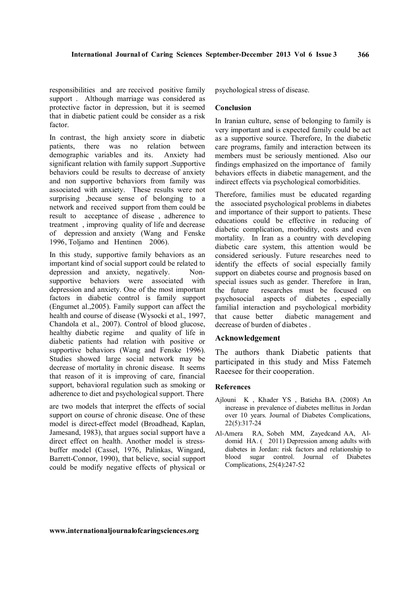responsibilities and are received positive family support . Although marriage was considered as protective factor in depression, but it is seemed that in diabetic patient could be consider as a risk factor.

In contrast, the high anxiety score in diabetic patients, there was no relation between demographic variables and its. Anxiety had significant relation with family support .Supportive behaviors could be results to decrease of anxiety and non supportive behaviors from family was associated with anxiety. These results were not surprising ,because sense of belonging to a network and received support from them could be result to acceptance of disease , adherence to treatment , improving quality of life and decrease of depression and anxiety (Wang and Fenske 1996, Toljamo and Hentinen 2006).

In this study, supportive family behaviors as an important kind of social support could be related to depression and anxiety, negatively. Nonsupportive behaviors were associated with depression and anxiety. One of the most important factors in diabetic control is family support (Engumet al.,2005). Family support can affect the health and course of disease (Wysocki et al., 1997, Chandola et al., 2007). Control of blood glucose, healthy diabetic regime and quality of life in diabetic patients had relation with positive or supportive behaviors (Wang and Fenske 1996). Studies showed large social network may be decrease of mortality in chronic disease. It seems that reason of it is improving of care, financial support, behavioral regulation such as smoking or adherence to diet and psychological support. There

are two models that interpret the effects of social support on course of chronic disease. One of these model is direct-effect model (Broadhead, Kaplan, Jamesand, 1983), that argues social support have a direct effect on health. Another model is stressbuffer model (Cassel, 1976, Palinkas, Wingard, Barrett-Connor, 1990), that believe, social support could be modify negative effects of physical or psychological stress of disease.

#### **Conclusion**

In Iranian culture, sense of belonging to family is very important and is expected family could be act as a supportive source. Therefore, In the diabetic care programs, family and interaction between its members must be seriously mentioned. Also our findings emphasized on the importance of family behaviors effects in diabetic management, and the indirect effects via psychological comorbidities.

Therefore, families must be educated regarding the associated psychological problems in diabetes and importance of their support to patients. These educations could be effective in reducing of diabetic complication, morbidity, costs and even mortality. In Iran as a country with developing diabetic care system, this attention would be considered seriously. Future researches need to identify the effects of social especially family support on diabetes course and prognosis based on special issues such as gender. Therefore in Iran, the future researches must be focused on researches must be focused on psychosocial aspects of diabetes , especially familial interaction and psychological morbidity that cause better diabetic management and decrease of burden of diabetes .

# **Acknowledgement**

The authors thank Diabetic patients that participated in this study and Miss Fatemeh Raeesee for their cooperation.

### **References**

- Ajlouni K , Khader YS , Batieha BA. (2008) An increase in prevalence of diabetes mellitus in Jordan over 10 years. Journal of Diabetes Complications, 22(5):317-24
- Al-Amera RA, Sobeh MM, Zayedcand AA, Aldomid HA. ( 2011) Depression among adults with diabetes in Jordan: risk factors and relationship to blood sugar control. Journal of Diabetes Complications, 25(4):247-52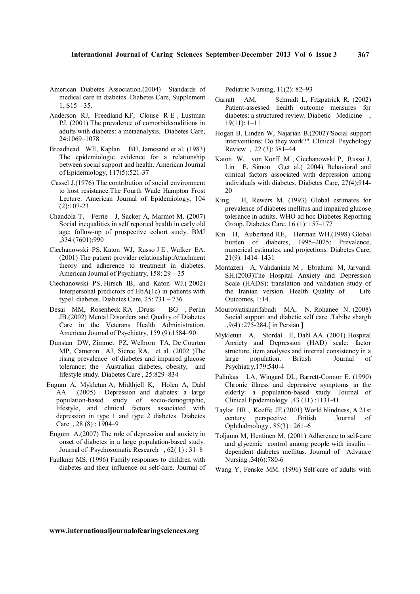- American Diabetes Association.(2004) Standards of medical care in diabetes. Diabetes Care, Supplement  $1, S15 - 35.$
- Anderson RJ, Freedland KF, Clouse R E , Lustman PJ. (2001) The prevalence of comorbidconditions in adults with diabetes: a metaanalysis. Diabetes Care, 24:1069–1078
- Broadhead WE, Kaplan BH, Jamesand et al. (1983) The epidemiologic evidence for a relationship between social support and health. American Journal of Epidemiology, 117(5):521-37
- Cassel J.(1976) The contribution of social environment to host resistance.The Fourth Wade Hampton Frost Lecture. American Journal of Epidemiology, 104 (2):107-23
- Chandola T, Ferrie J, Sacker A, Marmot M. (2007) Social inequalities in self reported health in early old age: follow-up of prospective cohort study. BMJ ,334 (7601):990
- Ciechanowski PS, Katon WJ, Russo J E , Walker EA. (2001) The patient provider relationship:Attachment theory and adherence to treatment in diabetes. American Journal of Psychiatry, 158: 29 – 35
- Ciechanowski PS, Hirsch IB, and Katon WJ.( 2002) Interpersonal predictors of HbA(1c) in patients with type1 diabetes. Diabetes Care, 25: 731 – 736
- Desai MM, Rosenheck RA ,Druss BG , Perlin JB.(2002) Mental Disorders and Quality of Diabetes Care in the Veterans Health Administration. American Journal of Psychiatry, 159 (9):1584–90
- Dunstan DW, Zimmet PZ, Welborn TA, De Courten MP, Cameron AJ, Sicree RA, et al. (2002 )The rising prevalence of diabetes and impaired glucose tolerance: the Australian diabetes, obesity, and lifestyle study. Diabetes Care , 25:829–834
- Engum A, Mykletun A, Midthjell K, Holen A, Dahl AA .(2005) Depression and diabetes: a large<br>population-based study of socio-demographic. study of socio-demographic, lifestyle, and clinical factors associated with depression in type 1 and type 2 diabetes. Diabetes Care , 28 (8) : 1904–9
- Engum A.(2007) The role of depression and anxiety in onset of diabetes in a large population-based study. Journal of Psychosomatic Research , 62( 1) : 31–8
- Faulkner MS. (1996) Family responses to children with diabetes and their influence on self-care. Journal of

Pediatric Nursing, 11(2): 82–93

- Garratt AM, Schmidt L, Fitzpatrick R. (2002) Patient-assessed health outcome measures for diabetes: a structured review. Diabetic Medicine , 19(11): 1–11
- Hogan B, Linden W, Najarian B.(2002)"Social support interventions: Do they work?". Clinical Psychology Review , 22 (3): 381–44
- Katon W, von Korff M , Ciechanowski P, Russo J, Lin E, Simon G,et al.( 2004) Behavioral and clinical factors associated with depression among individuals with diabetes. Diabetes Care, 27(4):914- 20
- King H, Rewers M. (1993) Global estimates for prevalence of diabetes mellitus and impaired glucose tolerance in adults. WHO ad hoc Diabetes Reporting Group. Diabetes Care. 16 (1): 157–177
- Kin H, Aubertand RE, Herman WH.(1998) Global burden of diabetes, 1995–2025: Prevalence, numerical estimates, and projections. Diabetes Care, 21(9): 1414–1431
- Montazeri A, Vahdaninia M , Ebrahimi M, Jarvandi SH.(2003)The Hospital Anxiety and Depression Scale (HADS): translation and validation study of the Iranian version. Health Quality of Life Outcomes, 1:14.
- Mourowatisharifabadi MA, N. Rohanee N. (2008) Social support and diabetic self care .Tabibe shargh .,9(4) :275-284.[ in Persian ]
- Mykletun A, Stordal E, Dahl AA. (2001) Hospital Anxiety and Depression (HAD) scale: factor structure, item analyses and internal consistency in a large population. British Journal of Psychiatry,179:540-4
- Palinkas LA, Wingard DL, Barrett-Connor E. (1990) Chronic illness and depressive symptoms in the elderly: a population-based study. Journal of Clinical Epidemiology ,43 (11) :1131-41
- Taylor HR , Keeffe JE.(2001) World blindness, A 21st century perspective .British Journal of Ophthalmology , 85(3) : 261–6
- Toljamo M, Hentinen M. (2001) Adherence to self-care and glycemic control among people with insulin – dependent diabetes mellitus. Journal of Advance Nursing ,34(6):780-6
- Wang Y, Fenske MM. (1996) Self-care of adults with